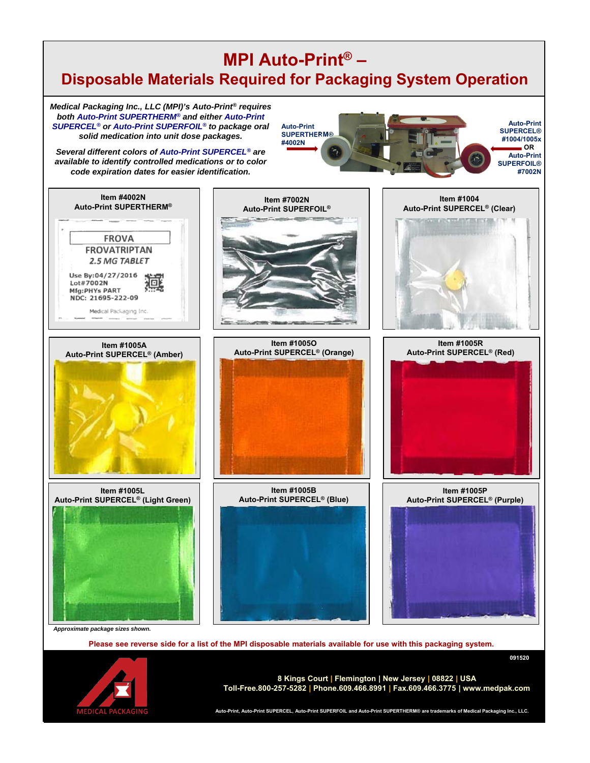## **MPI Auto-Print® – Disposable Materials Required for Packaging System Operation**

*Medical Packaging Inc., LLC (MPI)'s Auto-Print® requires both Auto-Print SUPERTHERM® and either Auto-Print SUPERCEL® or Auto-Print SUPERFOIL® to package oral solid medication into unit dose packages.* 

*Several different colors of Auto-Print SUPERCEL® are available to identify controlled medications or to color code expiration dates for easier identification.*





**Auto-Print, Auto-Print SUPERCEL, Auto-Print SUPERFOIL and Auto-Print SUPERTHERM® are trademarks of Medical Packaging Inc., LLC.**